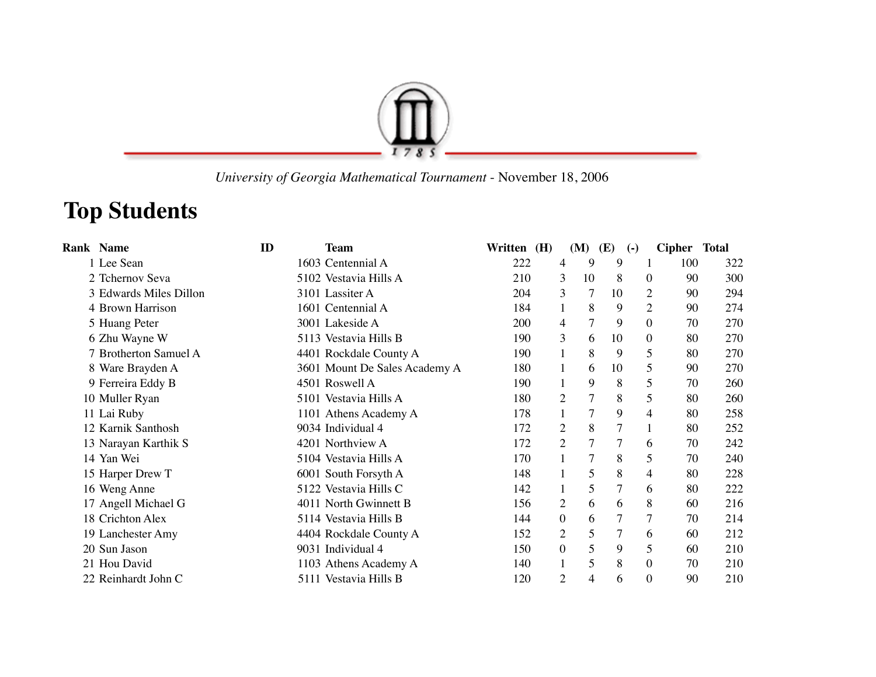

 *University of Georgia Mathematical Tournament* - November 18, 2006

## **Top Students**

| <b>Rank Name</b>       | ID | <b>Team</b>                   | Written (H) |                | (M)            | (E)            | $\left( -\right)$ | Cipher Total |     |
|------------------------|----|-------------------------------|-------------|----------------|----------------|----------------|-------------------|--------------|-----|
| 1 Lee Sean             |    | 1603 Centennial A             | 222         | 4              | 9              | 9              |                   | 100          | 322 |
| 2 Tchernov Seva        |    | 5102 Vestavia Hills A         | 210         | 3              | 10             | 8              | $\theta$          | 90           | 300 |
| 3 Edwards Miles Dillon |    | 3101 Lassiter A               | 204         | 3              | 7              | 10             | 2                 | 90           | 294 |
| 4 Brown Harrison       |    | 1601 Centennial A             | 184         | $\mathbf{1}$   | 8              | 9              | $\overline{2}$    | 90           | 274 |
| 5 Huang Peter          |    | 3001 Lakeside A               | 200         | 4              | $\overline{7}$ | 9              | $\boldsymbol{0}$  | 70           | 270 |
| 6 Zhu Wayne W          |    | 5113 Vestavia Hills B         | 190         | 3              | 6              | 10             | $\Omega$          | 80           | 270 |
| 7 Brotherton Samuel A  |    | 4401 Rockdale County A        | 190         | $\mathbf{1}$   | 8              | 9              | 5                 | 80           | 270 |
| 8 Ware Brayden A       |    | 3601 Mount De Sales Academy A | 180         |                | 6              | 10             | 5                 | 90           | 270 |
| 9 Ferreira Eddy B      |    | 4501 Roswell A                | 190         | $\mathbf{1}$   | 9              | 8              | 5                 | 70           | 260 |
| 10 Muller Ryan         |    | 5101 Vestavia Hills A         | 180         | 2              | $\overline{7}$ | 8              | 5                 | 80           | 260 |
| 11 Lai Ruby            |    | 1101 Athens Academy A         | 178         |                | 7              | 9              | $\overline{4}$    | 80           | 258 |
| 12 Karnik Santhosh     |    | 9034 Individual 4             | 172         | $\overline{2}$ | 8              | 7              |                   | 80           | 252 |
| 13 Narayan Karthik S   |    | 4201 Northview A              | 172         | $\overline{2}$ | $\overline{7}$ | $\overline{7}$ | 6                 | 70           | 242 |
| 14 Yan Wei             |    | 5104 Vestavia Hills A         | 170         |                | $\overline{7}$ | 8              | 5                 | 70           | 240 |
| 15 Harper Drew T       |    | 6001 South Forsyth A          | 148         |                | 5              | 8              | 4                 | 80           | 228 |
| 16 Weng Anne           |    | 5122 Vestavia Hills C         | 142         |                | 5              | 7              | 6                 | 80           | 222 |
| 17 Angell Michael G    |    | 4011 North Gwinnett B         | 156         | $\mathfrak{2}$ | 6              | 6              | 8                 | 60           | 216 |
| 18 Crichton Alex       |    | 5114 Vestavia Hills B         | 144         | $\mathbf{0}$   | 6              | 7              | 7                 | 70           | 214 |
| 19 Lanchester Amy      |    | 4404 Rockdale County A        | 152         | $\overline{2}$ | 5              | 7              | 6                 | 60           | 212 |
| 20 Sun Jason           |    | 9031 Individual 4             | 150         | $\mathbf{0}$   | 5              | 9              | 5                 | 60           | 210 |
| 21 Hou David           |    | 1103 Athens Academy A         | 140         | $\mathbf{1}$   | 5              | 8              | $\boldsymbol{0}$  | 70           | 210 |
| 22 Reinhardt John C    |    | 5111 Vestavia Hills B         | 120         | $\overline{2}$ | $\overline{4}$ | 6              | $\boldsymbol{0}$  | 90           | 210 |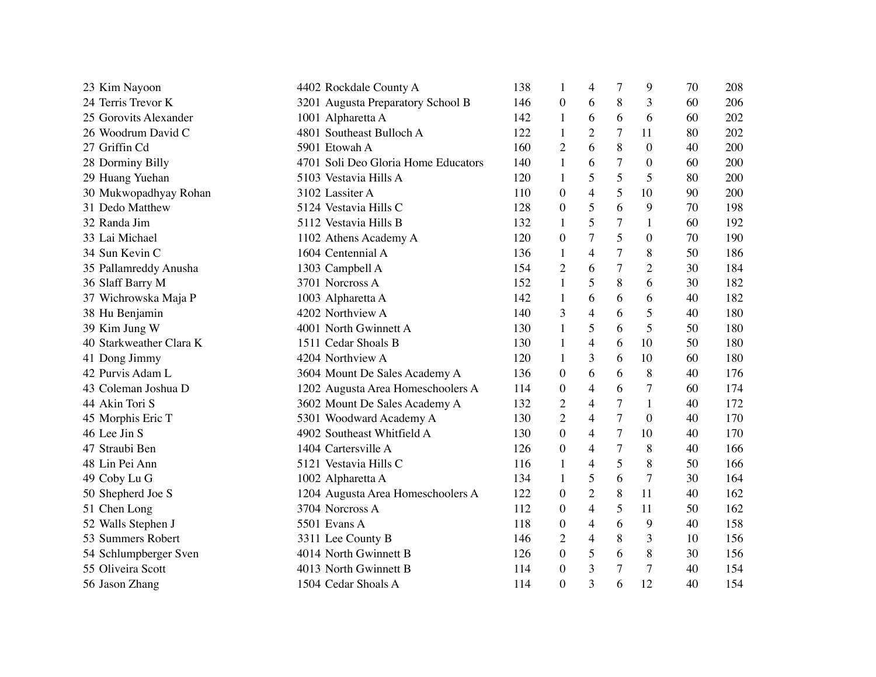| 23 Kim Nayoon           | 4402 Rockdale County A              | 138 | 1                | 4                        | 7              | 9                | 70 | 208 |
|-------------------------|-------------------------------------|-----|------------------|--------------------------|----------------|------------------|----|-----|
| 24 Terris Trevor K      | 3201 Augusta Preparatory School B   | 146 | $\boldsymbol{0}$ | 6                        | 8              | 3                | 60 | 206 |
| 25 Gorovits Alexander   | 1001 Alpharetta A                   | 142 | 1                | 6                        | 6              | 6                | 60 | 202 |
| 26 Woodrum David C      | 4801 Southeast Bulloch A            | 122 | 1                | $\overline{2}$           | 7              | 11               | 80 | 202 |
| 27 Griffin Cd           | 5901 Etowah A                       | 160 | $\overline{2}$   | 6                        | $8\,$          | $\boldsymbol{0}$ | 40 | 200 |
| 28 Dorminy Billy        | 4701 Soli Deo Gloria Home Educators | 140 | 1                | 6                        | 7              | $\overline{0}$   | 60 | 200 |
| 29 Huang Yuehan         | 5103 Vestavia Hills A               | 120 | $\mathbf{1}$     | 5                        | 5              | 5                | 80 | 200 |
| 30 Mukwopadhyay Rohan   | 3102 Lassiter A                     | 110 | $\boldsymbol{0}$ | $\overline{4}$           | 5              | 10               | 90 | 200 |
| 31 Dedo Matthew         | 5124 Vestavia Hills C               | 128 | $\boldsymbol{0}$ | 5                        | 6              | 9                | 70 | 198 |
| 32 Randa Jim            | 5112 Vestavia Hills B               | 132 | 1                | 5                        | 7              | $\mathbf{1}$     | 60 | 192 |
| 33 Lai Michael          | 1102 Athens Academy A               | 120 | $\overline{0}$   | 7                        | 5              | $\theta$         | 70 | 190 |
| 34 Sun Kevin C          | 1604 Centennial A                   | 136 | $\mathbf{1}$     | 4                        | 7              | 8                | 50 | 186 |
| 35 Pallamreddy Anusha   | 1303 Campbell A                     | 154 | $\overline{2}$   | 6                        | 7              | $\overline{2}$   | 30 | 184 |
| 36 Slaff Barry M        | 3701 Norcross A                     | 152 | $\mathbf{1}$     | 5                        | 8              | 6                | 30 | 182 |
| 37 Wichrowska Maja P    | 1003 Alpharetta A                   | 142 | $\mathbf{1}$     | 6                        | 6              | 6                | 40 | 182 |
| 38 Hu Benjamin          | 4202 Northview A                    | 140 | 3                | $\overline{4}$           | 6              | 5                | 40 | 180 |
| 39 Kim Jung W           | 4001 North Gwinnett A               | 130 | 1                | 5                        | 6              | 5                | 50 | 180 |
| 40 Starkweather Clara K | 1511 Cedar Shoals B                 | 130 | $\mathbf{1}$     | $\overline{\mathcal{L}}$ | 6              | 10               | 50 | 180 |
| 41 Dong Jimmy           | 4204 Northview A                    | 120 | 1                | 3                        | 6              | 10               | 60 | 180 |
| 42 Purvis Adam L        | 3604 Mount De Sales Academy A       | 136 | $\boldsymbol{0}$ | 6                        | 6              | 8                | 40 | 176 |
| 43 Coleman Joshua D     | 1202 Augusta Area Homeschoolers A   | 114 | $\boldsymbol{0}$ | 4                        | 6              | $\overline{7}$   | 60 | 174 |
| 44 Akin Tori S          | 3602 Mount De Sales Academy A       | 132 | 2                | 4                        | 7              | 1                | 40 | 172 |
| 45 Morphis Eric T       | 5301 Woodward Academy A             | 130 | $\overline{2}$   | $\overline{4}$           | 7              | $\theta$         | 40 | 170 |
| 46 Lee Jin S            | 4902 Southeast Whitfield A          | 130 | $\Omega$         | $\overline{4}$           | $\overline{7}$ | 10               | 40 | 170 |
| 47 Straubi Ben          | 1404 Cartersville A                 | 126 | $\boldsymbol{0}$ | 4                        | $\tau$         | 8                | 40 | 166 |
| 48 Lin Pei Ann          | 5121 Vestavia Hills C               | 116 | $\mathbf{1}$     | $\overline{4}$           | 5              | 8                | 50 | 166 |
| 49 Coby Lu G            | 1002 Alpharetta A                   | 134 | $\mathbf{1}$     | 5                        | 6              | $\overline{7}$   | 30 | 164 |
| 50 Shepherd Joe S       | 1204 Augusta Area Homeschoolers A   | 122 | $\boldsymbol{0}$ | $\overline{2}$           | 8              | 11               | 40 | 162 |
| 51 Chen Long            | 3704 Norcross A                     | 112 | $\theta$         | 4                        | 5              | 11               | 50 | 162 |
| 52 Walls Stephen J      | 5501 Evans A                        | 118 | $\boldsymbol{0}$ | 4                        | 6              | 9                | 40 | 158 |
| 53 Summers Robert       | 3311 Lee County B                   | 146 | $\overline{c}$   | $\overline{4}$           | 8              | 3                | 10 | 156 |
| 54 Schlumpberger Sven   | 4014 North Gwinnett B               | 126 | $\boldsymbol{0}$ | 5                        | 6              | 8                | 30 | 156 |
| 55 Oliveira Scott       | 4013 North Gwinnett B               | 114 | $\boldsymbol{0}$ | 3                        | 7              | $\overline{7}$   | 40 | 154 |
| 56 Jason Zhang          | 1504 Cedar Shoals A                 | 114 | $\overline{0}$   | $\overline{3}$           | 6              | 12               | 40 | 154 |